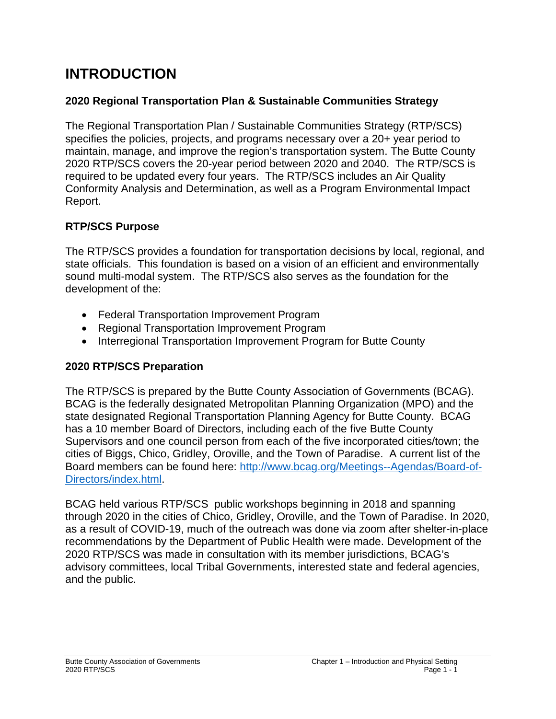# **INTRODUCTION**

### **2020 Regional Transportation Plan & Sustainable Communities Strategy**

The Regional Transportation Plan / Sustainable Communities Strategy (RTP/SCS) specifies the policies, projects, and programs necessary over a 20+ year period to maintain, manage, and improve the region's transportation system. The Butte County 2020 RTP/SCS covers the 20-year period between 2020 and 2040. The RTP/SCS is required to be updated every four years. The RTP/SCS includes an Air Quality Conformity Analysis and Determination, as well as a Program Environmental Impact Report.

## **RTP/SCS Purpose**

The RTP/SCS provides a foundation for transportation decisions by local, regional, and state officials. This foundation is based on a vision of an efficient and environmentally sound multi-modal system. The RTP/SCS also serves as the foundation for the development of the:

- Federal Transportation Improvement Program
- Regional Transportation Improvement Program
- Interregional Transportation Improvement Program for Butte County

### **2020 RTP/SCS Preparation**

The RTP/SCS is prepared by the Butte County Association of Governments (BCAG). BCAG is the federally designated Metropolitan Planning Organization (MPO) and the state designated Regional Transportation Planning Agency for Butte County. BCAG has a 10 member Board of Directors, including each of the five Butte County Supervisors and one council person from each of the five incorporated cities/town; the cities of Biggs, Chico, Gridley, Oroville, and the Town of Paradise. A current list of the Board members can be found here: [http://www.bcag.org/Meetings--Agendas/Board-of-](http://www.bcag.org/Meetings--Agendas/Board-of-Directors/index.html)[Directors/index.html.](http://www.bcag.org/Meetings--Agendas/Board-of-Directors/index.html)

BCAG held various RTP/SCS public workshops beginning in 2018 and spanning through 2020 in the cities of Chico, Gridley, Oroville, and the Town of Paradise. In 2020, as a result of COVID-19, much of the outreach was done via zoom after shelter-in-place recommendations by the Department of Public Health were made. Development of the 2020 RTP/SCS was made in consultation with its member jurisdictions, BCAG's advisory committees, local Tribal Governments, interested state and federal agencies, and the public.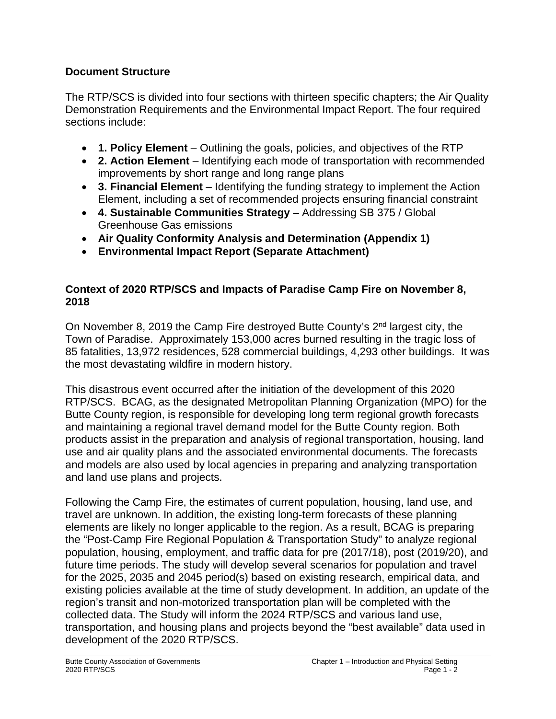### **Document Structure**

The RTP/SCS is divided into four sections with thirteen specific chapters; the Air Quality Demonstration Requirements and the Environmental Impact Report. The four required sections include:

- **1. Policy Element** Outlining the goals, policies, and objectives of the RTP
- **2. Action Element** Identifying each mode of transportation with recommended improvements by short range and long range plans
- **3. Financial Element** Identifying the funding strategy to implement the Action Element, including a set of recommended projects ensuring financial constraint
- **4. Sustainable Communities Strategy** Addressing SB 375 / Global Greenhouse Gas emissions
- **Air Quality Conformity Analysis and Determination (Appendix 1)**
- **Environmental Impact Report (Separate Attachment)**

## **Context of 2020 RTP/SCS and Impacts of Paradise Camp Fire on November 8, 2018**

On November 8, 2019 the Camp Fire destroyed Butte County's 2nd largest city, the Town of Paradise. Approximately 153,000 acres burned resulting in the tragic loss of 85 fatalities, 13,972 residences, 528 commercial buildings, 4,293 other buildings. It was the most devastating wildfire in modern history.

This disastrous event occurred after the initiation of the development of this 2020 RTP/SCS. BCAG, as the designated Metropolitan Planning Organization (MPO) for the Butte County region, is responsible for developing long term regional growth forecasts and maintaining a regional travel demand model for the Butte County region. Both products assist in the preparation and analysis of regional transportation, housing, land use and air quality plans and the associated environmental documents. The forecasts and models are also used by local agencies in preparing and analyzing transportation and land use plans and projects.

Following the Camp Fire, the estimates of current population, housing, land use, and travel are unknown. In addition, the existing long-term forecasts of these planning elements are likely no longer applicable to the region. As a result, BCAG is preparing the "Post-Camp Fire Regional Population & Transportation Study" to analyze regional population, housing, employment, and traffic data for pre (2017/18), post (2019/20), and future time periods. The study will develop several scenarios for population and travel for the 2025, 2035 and 2045 period(s) based on existing research, empirical data, and existing policies available at the time of study development. In addition, an update of the region's transit and non-motorized transportation plan will be completed with the collected data. The Study will inform the 2024 RTP/SCS and various land use, transportation, and housing plans and projects beyond the "best available" data used in development of the 2020 RTP/SCS.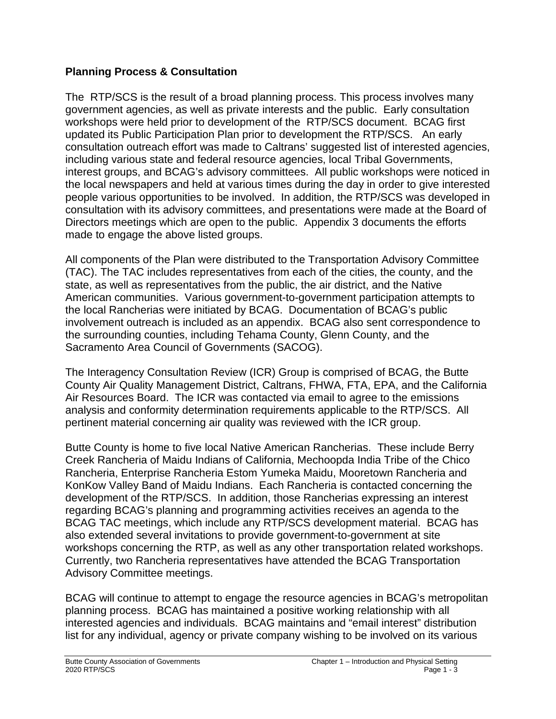#### **Planning Process & Consultation**

The RTP/SCS is the result of a broad planning process. This process involves many government agencies, as well as private interests and the public. Early consultation workshops were held prior to development of the RTP/SCS document. BCAG first updated its Public Participation Plan prior to development the RTP/SCS. An early consultation outreach effort was made to Caltrans' suggested list of interested agencies, including various state and federal resource agencies, local Tribal Governments, interest groups, and BCAG's advisory committees. All public workshops were noticed in the local newspapers and held at various times during the day in order to give interested people various opportunities to be involved. In addition, the RTP/SCS was developed in consultation with its advisory committees, and presentations were made at the Board of Directors meetings which are open to the public. Appendix 3 documents the efforts made to engage the above listed groups.

All components of the Plan were distributed to the Transportation Advisory Committee (TAC). The TAC includes representatives from each of the cities, the county, and the state, as well as representatives from the public, the air district, and the Native American communities. Various government-to-government participation attempts to the local Rancherias were initiated by BCAG. Documentation of BCAG's public involvement outreach is included as an appendix. BCAG also sent correspondence to the surrounding counties, including Tehama County, Glenn County, and the Sacramento Area Council of Governments (SACOG).

The Interagency Consultation Review (ICR) Group is comprised of BCAG, the Butte County Air Quality Management District, Caltrans, FHWA, FTA, EPA, and the California Air Resources Board. The ICR was contacted via email to agree to the emissions analysis and conformity determination requirements applicable to the RTP/SCS. All pertinent material concerning air quality was reviewed with the ICR group.

Butte County is home to five local Native American Rancherias. These include Berry Creek Rancheria of Maidu Indians of California, Mechoopda India Tribe of the Chico Rancheria, Enterprise Rancheria Estom Yumeka Maidu, Mooretown Rancheria and KonKow Valley Band of Maidu Indians. Each Rancheria is contacted concerning the development of the RTP/SCS. In addition, those Rancherias expressing an interest regarding BCAG's planning and programming activities receives an agenda to the BCAG TAC meetings, which include any RTP/SCS development material. BCAG has also extended several invitations to provide government-to-government at site workshops concerning the RTP, as well as any other transportation related workshops. Currently, two Rancheria representatives have attended the BCAG Transportation Advisory Committee meetings.

BCAG will continue to attempt to engage the resource agencies in BCAG's metropolitan planning process. BCAG has maintained a positive working relationship with all interested agencies and individuals. BCAG maintains and "email interest" distribution list for any individual, agency or private company wishing to be involved on its various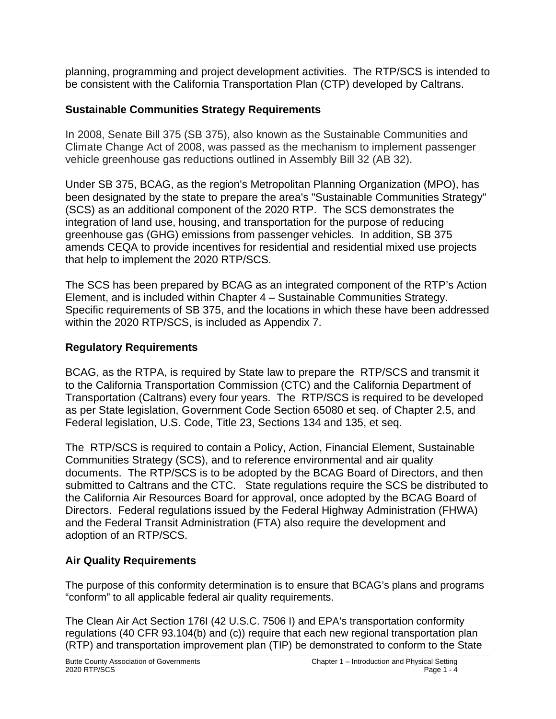planning, programming and project development activities. The RTP/SCS is intended to be consistent with the California Transportation Plan (CTP) developed by Caltrans.

### **Sustainable Communities Strategy Requirements**

In 2008, Senate Bill 375 (SB 375), also known as the Sustainable Communities and Climate Change Act of 2008, was passed as the mechanism to implement passenger vehicle greenhouse gas reductions outlined in Assembly Bill 32 (AB 32).

Under SB 375, BCAG, as the region's Metropolitan Planning Organization (MPO), has been designated by the state to prepare the area's "Sustainable Communities Strategy" (SCS) as an additional component of the 2020 RTP. The SCS demonstrates the integration of land use, housing, and transportation for the purpose of reducing greenhouse gas (GHG) emissions from passenger vehicles. In addition, SB 375 amends CEQA to provide incentives for residential and residential mixed use projects that help to implement the 2020 RTP/SCS.

The SCS has been prepared by BCAG as an integrated component of the RTP's Action Element, and is included within Chapter 4 – Sustainable Communities Strategy. Specific requirements of SB 375, and the locations in which these have been addressed within the 2020 RTP/SCS, is included as Appendix 7.

### **Regulatory Requirements**

BCAG, as the RTPA, is required by State law to prepare the RTP/SCS and transmit it to the California Transportation Commission (CTC) and the California Department of Transportation (Caltrans) every four years. The RTP/SCS is required to be developed as per State legislation, Government Code Section 65080 et seq. of Chapter 2.5, and Federal legislation, U.S. Code, Title 23, Sections 134 and 135, et seq.

The RTP/SCS is required to contain a Policy, Action, Financial Element, Sustainable Communities Strategy (SCS), and to reference environmental and air quality documents. The RTP/SCS is to be adopted by the BCAG Board of Directors, and then submitted to Caltrans and the CTC. State regulations require the SCS be distributed to the California Air Resources Board for approval, once adopted by the BCAG Board of Directors. Federal regulations issued by the Federal Highway Administration (FHWA) and the Federal Transit Administration (FTA) also require the development and adoption of an RTP/SCS.

### **Air Quality Requirements**

The purpose of this conformity determination is to ensure that BCAG's plans and programs "conform" to all applicable federal air quality requirements.

The Clean Air Act Section 176I (42 U.S.C. 7506 I) and EPA's transportation conformity regulations (40 CFR 93.104(b) and (c)) require that each new regional transportation plan (RTP) and transportation improvement plan (TIP) be demonstrated to conform to the State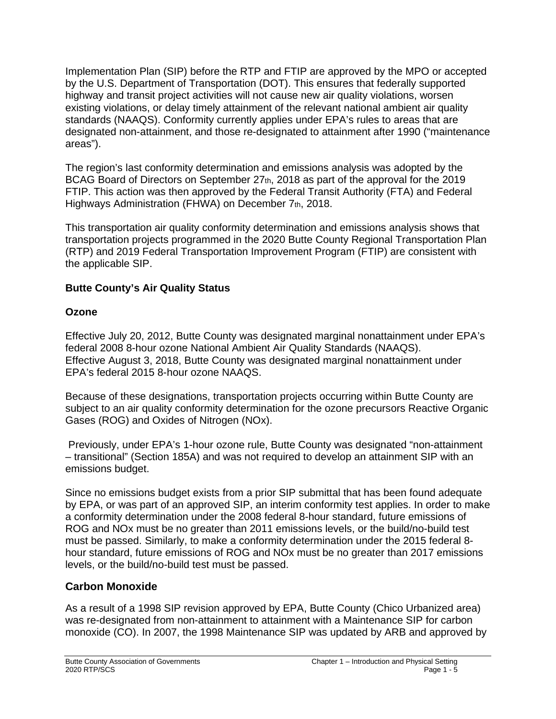Implementation Plan (SIP) before the RTP and FTIP are approved by the MPO or accepted by the U.S. Department of Transportation (DOT). This ensures that federally supported highway and transit project activities will not cause new air quality violations, worsen existing violations, or delay timely attainment of the relevant national ambient air quality standards (NAAQS). Conformity currently applies under EPA's rules to areas that are designated non-attainment, and those re-designated to attainment after 1990 ("maintenance areas").

The region's last conformity determination and emissions analysis was adopted by the BCAG Board of Directors on September 27th, 2018 as part of the approval for the 2019 FTIP. This action was then approved by the Federal Transit Authority (FTA) and Federal Highways Administration (FHWA) on December 7th, 2018.

This transportation air quality conformity determination and emissions analysis shows that transportation projects programmed in the 2020 Butte County Regional Transportation Plan (RTP) and 2019 Federal Transportation Improvement Program (FTIP) are consistent with the applicable SIP.

#### **Butte County's Air Quality Status**

#### **Ozone**

Effective July 20, 2012, Butte County was designated marginal nonattainment under EPA's federal 2008 8-hour ozone National Ambient Air Quality Standards (NAAQS). Effective August 3, 2018, Butte County was designated marginal nonattainment under EPA's federal 2015 8-hour ozone NAAQS.

Because of these designations, transportation projects occurring within Butte County are subject to an air quality conformity determination for the ozone precursors Reactive Organic Gases (ROG) and Oxides of Nitrogen (NOx).

Previously, under EPA's 1-hour ozone rule, Butte County was designated "non-attainment – transitional" (Section 185A) and was not required to develop an attainment SIP with an emissions budget.

Since no emissions budget exists from a prior SIP submittal that has been found adequate by EPA, or was part of an approved SIP, an interim conformity test applies. In order to make a conformity determination under the 2008 federal 8-hour standard, future emissions of ROG and NOx must be no greater than 2011 emissions levels, or the build/no-build test must be passed. Similarly, to make a conformity determination under the 2015 federal 8 hour standard, future emissions of ROG and NOx must be no greater than 2017 emissions levels, or the build/no-build test must be passed.

### **Carbon Monoxide**

As a result of a 1998 SIP revision approved by EPA, Butte County (Chico Urbanized area) was re-designated from non-attainment to attainment with a Maintenance SIP for carbon monoxide (CO). In 2007, the 1998 Maintenance SIP was updated by ARB and approved by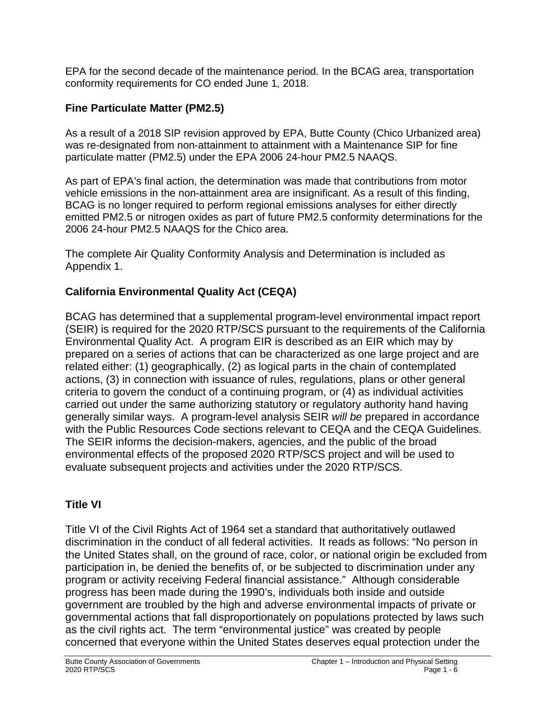EPA for the second decade of the maintenance period. In the BCAG area, transportation conformity requirements for CO ended June 1, 2018.

# **Fine Particulate Matter (PM2.5)**

As a result of a 2018 SIP revision approved by EPA, Butte County (Chico Urbanized area) was re-designated from non-attainment to attainment with a Maintenance SIP for fine particulate matter (PM2.5) under the EPA 2006 24-hour PM2.5 NAAQS.

As part of EPA's final action, the determination was made that contributions from motor vehicle emissions in the non-attainment area are insignificant. As a result of this finding, BCAG is no longer required to perform regional emissions analyses for either directly emitted PM2.5 or nitrogen oxides as part of future PM2.5 conformity determinations for the 2006 24-hour PM2.5 NAAQS for the Chico area.

The complete Air Quality Conformity Analysis and Determination is included as Appendix 1.

# **California Environmental Quality Act (CEQA)**

BCAG has determined that a supplemental program-level environmental impact report (SEIR) is required for the 2020 RTP/SCS pursuant to the requirements of the California Environmental Quality Act. A program EIR is described as an EIR which may by prepared on a series of actions that can be characterized as one large project and are related either: (1) geographically, (2) as logical parts in the chain of contemplated actions, (3) in connection with issuance of rules, regulations, plans or other general criteria to govern the conduct of a continuing program, or (4) as individual activities carried out under the same authorizing statutory or regulatory authority hand having generally similar ways. A program-level analysis SEIR *will be* prepared in accordance with the Public Resources Code sections relevant to CEQA and the CEQA Guidelines. The SEIR informs the decision-makers, agencies, and the public of the broad environmental effects of the proposed 2020 RTP/SCS project and will be used to evaluate subsequent projects and activities under the 2020 RTP/SCS.

## **Title VI**

Title VI of the Civil Rights Act of 1964 set a standard that authoritatively outlawed discrimination in the conduct of all federal activities. It reads as follows: "No person in the United States shall, on the ground of race, color, or national origin be excluded from participation in, be denied the benefits of, or be subjected to discrimination under any program or activity receiving Federal financial assistance." Although considerable progress has been made during the 1990's, individuals both inside and outside government are troubled by the high and adverse environmental impacts of private or governmental actions that fall disproportionately on populations protected by laws such as the civil rights act. The term "environmental justice" was created by people concerned that everyone within the United States deserves equal protection under the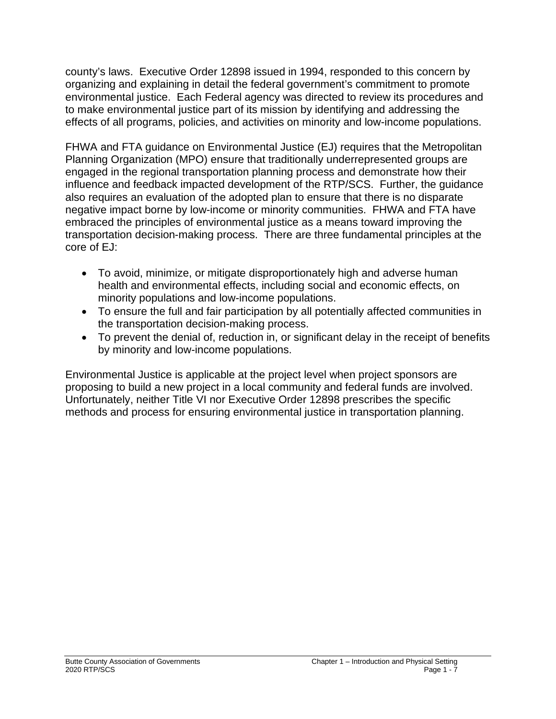county's laws. Executive Order 12898 issued in 1994, responded to this concern by organizing and explaining in detail the federal government's commitment to promote environmental justice. Each Federal agency was directed to review its procedures and to make environmental justice part of its mission by identifying and addressing the effects of all programs, policies, and activities on minority and low-income populations.

FHWA and FTA guidance on Environmental Justice (EJ) requires that the Metropolitan Planning Organization (MPO) ensure that traditionally underrepresented groups are engaged in the regional transportation planning process and demonstrate how their influence and feedback impacted development of the RTP/SCS. Further, the guidance also requires an evaluation of the adopted plan to ensure that there is no disparate negative impact borne by low-income or minority communities. FHWA and FTA have embraced the principles of environmental justice as a means toward improving the transportation decision-making process. There are three fundamental principles at the core of EJ:

- To avoid, minimize, or mitigate disproportionately high and adverse human health and environmental effects, including social and economic effects, on minority populations and low-income populations.
- To ensure the full and fair participation by all potentially affected communities in the transportation decision-making process.
- To prevent the denial of, reduction in, or significant delay in the receipt of benefits by minority and low-income populations.

Environmental Justice is applicable at the project level when project sponsors are proposing to build a new project in a local community and federal funds are involved. Unfortunately, neither Title VI nor Executive Order 12898 prescribes the specific methods and process for ensuring environmental justice in transportation planning.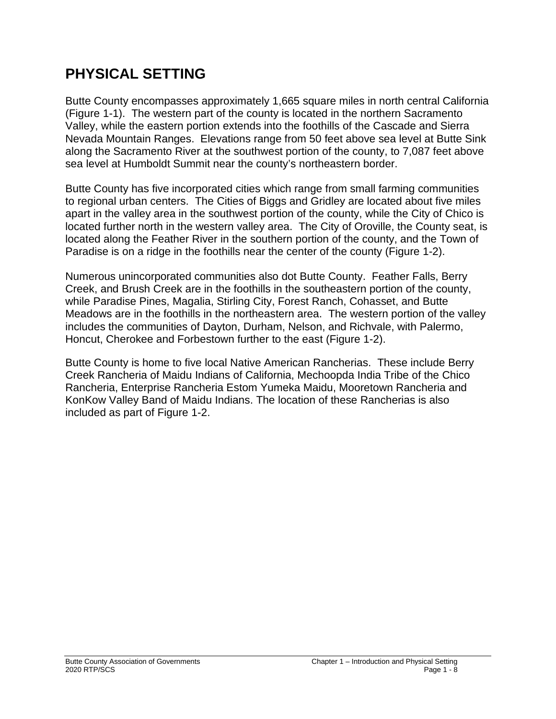# **PHYSICAL SETTING**

Butte County encompasses approximately 1,665 square miles in north central California (Figure 1-1). The western part of the county is located in the northern Sacramento Valley, while the eastern portion extends into the foothills of the Cascade and Sierra Nevada Mountain Ranges. Elevations range from 50 feet above sea level at Butte Sink along the Sacramento River at the southwest portion of the county, to 7,087 feet above sea level at Humboldt Summit near the county's northeastern border.

Butte County has five incorporated cities which range from small farming communities to regional urban centers. The Cities of Biggs and Gridley are located about five miles apart in the valley area in the southwest portion of the county, while the City of Chico is located further north in the western valley area. The City of Oroville, the County seat, is located along the Feather River in the southern portion of the county, and the Town of Paradise is on a ridge in the foothills near the center of the county (Figure 1-2).

Numerous unincorporated communities also dot Butte County. Feather Falls, Berry Creek, and Brush Creek are in the foothills in the southeastern portion of the county, while Paradise Pines, Magalia, Stirling City, Forest Ranch, Cohasset, and Butte Meadows are in the foothills in the northeastern area. The western portion of the valley includes the communities of Dayton, Durham, Nelson, and Richvale, with Palermo, Honcut, Cherokee and Forbestown further to the east (Figure 1-2).

Butte County is home to five local Native American Rancherias. These include Berry Creek Rancheria of Maidu Indians of California, Mechoopda India Tribe of the Chico Rancheria, Enterprise Rancheria Estom Yumeka Maidu, Mooretown Rancheria and KonKow Valley Band of Maidu Indians. The location of these Rancherias is also included as part of Figure 1-2.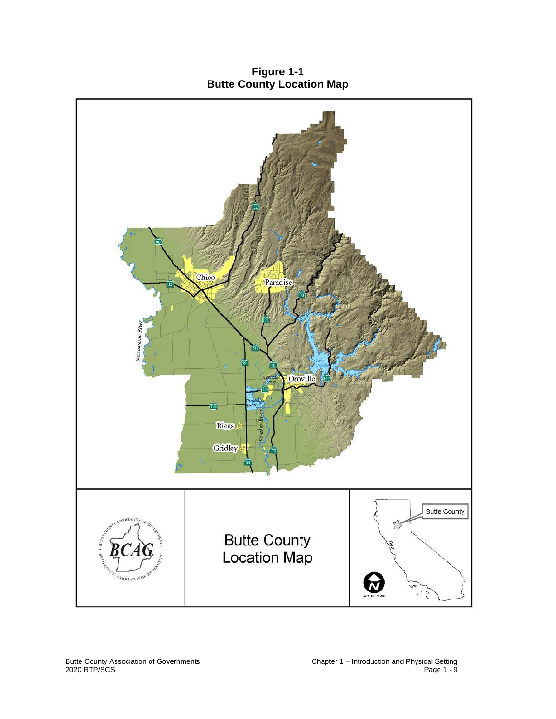**Figure 1-1 Butte County Location Map**